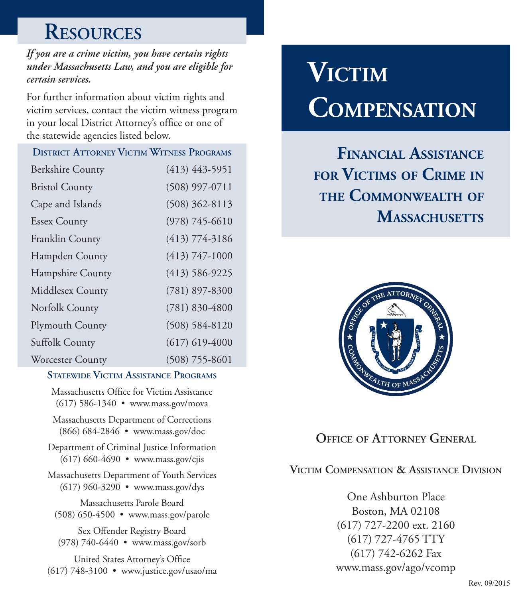# **Resources**

*If you are a crime victim, you have certain rights under Massachusetts Law, and you are eligible for certain services.* 

For further information about victim rights and victim services, contact the victim witness program in your local District Attorney's office or one of the statewide agencies listed below.

| <b>DISTRICT ATTORNEY VICTIM WITNESS PROGRAMS</b> |  |  |  |  |  |  |
|--------------------------------------------------|--|--|--|--|--|--|
| $(413)$ 443-5951                                 |  |  |  |  |  |  |
| $(508)$ 997-0711                                 |  |  |  |  |  |  |
| $(508)$ 362-8113                                 |  |  |  |  |  |  |
| $(978) 745 - 6610$                               |  |  |  |  |  |  |
| $(413) 774 - 3186$                               |  |  |  |  |  |  |
| $(413) 747 - 1000$                               |  |  |  |  |  |  |
| $(413) 586 - 9225$                               |  |  |  |  |  |  |
| $(781)$ 897-8300                                 |  |  |  |  |  |  |
| $(781) 830 - 4800$                               |  |  |  |  |  |  |
| $(508) 584 - 8120$                               |  |  |  |  |  |  |
| $(617)$ 619-4000                                 |  |  |  |  |  |  |
| $(508) 755 - 8601$                               |  |  |  |  |  |  |
|                                                  |  |  |  |  |  |  |

#### **Statewide Victim Assistance Programs**

Massachusetts Office for Victim Assistance (617) 586-1340 • www.mass.gov/mova

Massachusetts Department of Corrections (866) 684-2846 • www.mass.gov/doc

Department of Criminal Justice Information (617) 660-4690 • www.mass.gov/cjis

Massachusetts Department of Youth Services (617) 960-3290 • www.mass.gov/dys

Massachusetts Parole Board (508) 650-4500 • www.mass.gov/parole

Sex Offender Registry Board (978) 740-6440 • www.mass.gov/sorb

United States Attorney's Office (617) 748-3100 • www.justice.gov/usao/ma

# **Victim Compensation**

**Financial Assistance for Victims of Crime in the Commonwealth of** MASSACHUSETTS



## **OFFICE OF ATTORNEY GENERAL**

#### **Victim Compensation & Assistance Division**

One Ashburton Place Boston, MA 02108 (617) 727-2200 ext. 2160 (617) 727-4765 TTY (617) 742-6262 Fax www.mass.gov/ago/vcomp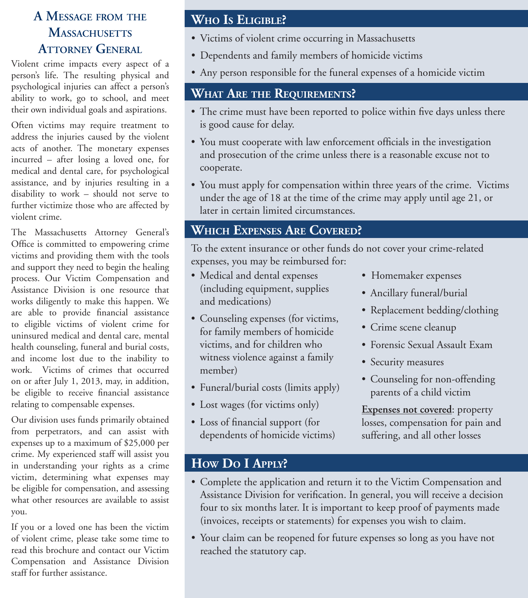### **A Message from the Massachusetts ATTORNEY GENERAL**

Violent crime impacts every aspect of a person's life. The resulting physical and psychological injuries can affect a person's ability to work, go to school, and meet their own individual goals and aspirations.

Often victims may require treatment to address the injuries caused by the violent acts of another. The monetary expenses incurred – after losing a loved one, for medical and dental care, for psychological assistance, and by injuries resulting in a disability to work – should not serve to further victimize those who are affected by violent crime.

The Massachusetts Attorney General's Office is committed to empowering crime victims and providing them with the tools and support they need to begin the healing process. Our Victim Compensation and Assistance Division is one resource that works diligently to make this happen. We are able to provide financial assistance to eligible victims of violent crime for uninsured medical and dental care, mental health counseling, funeral and burial costs, and income lost due to the inability to work. Victims of crimes that occurred on or after July 1, 2013, may, in addition, be eligible to receive financial assistance relating to compensable expenses.

Our division uses funds primarily obtained from perpetrators, and can assist with expenses up to a maximum of \$25,000 per crime. My experienced staff will assist you in understanding your rights as a crime victim, determining what expenses may be eligible for compensation, and assessing what other resources are available to assist you.

If you or a loved one has been the victim of violent crime, please take some time to read this brochure and contact our Victim Compensation and Assistance Division staff for further assistance.

### **Who Is Eligible?**

- Victims of violent crime occurring in Massachusetts
- Dependents and family members of homicide victims
- Any person responsible for the funeral expenses of a homicide victim

#### **What Are the Requirements?**

- The crime must have been reported to police within five days unless there is good cause for delay.
- You must cooperate with law enforcement officials in the investigation and prosecution of the crime unless there is a reasonable excuse not to cooperate.
- You must apply for compensation within three years of the crime. Victims under the age of 18 at the time of the crime may apply until age 21, or later in certain limited circumstances.

#### **Which Expenses Are Covered?**

To the extent insurance or other funds do not cover your crime-related expenses, you may be reimbursed for:

- Medical and dental expenses (including equipment, supplies and medications)
- Counseling expenses (for victims, for family members of homicide victims, and for children who witness violence against a family member)
- Funeral/burial costs (limits apply)
- Lost wages (for victims only)
- Loss of financial support (for dependents of homicide victims)
- Homemaker expenses
- Ancillary funeral/burial
- Replacement bedding/clothing
- Crime scene cleanup
- Forensic Sexual Assault Exam
- Security measures
- Counseling for non-offending parents of a child victim

**Expenses not covered**: property losses, compensation for pain and suffering, and all other losses

#### **How Do I Apply?**

- Complete the application and return it to the Victim Compensation and Assistance Division for verification. In general, you will receive a decision four to six months later. It is important to keep proof of payments made (invoices, receipts or statements) for expenses you wish to claim.
- Your claim can be reopened for future expenses so long as you have not reached the statutory cap.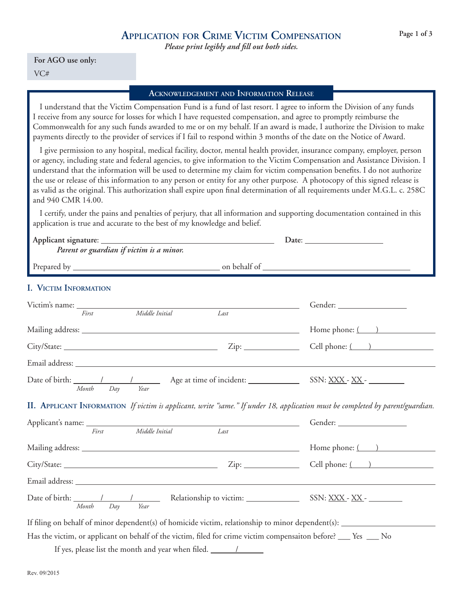*Please print legibly and fill out both sides.*

#### **For AGO use only:** VC#

#### **Acknowledgement and Information Release**

I understand that the Victim Compensation Fund is a fund of last resort. I agree to inform the Division of any funds I receive from any source for losses for which I have requested compensation, and agree to promptly reimburse the Commonwealth for any such funds awarded to me or on my behalf. If an award is made, I authorize the Division to make payments directly to the provider of services if I fail to respond within 3 months of the date on the Notice of Award.

I give permission to any hospital, medical facility, doctor, mental health provider, insurance company, employer, person or agency, including state and federal agencies, to give information to the Victim Compensation and Assistance Division. I understand that the information will be used to determine my claim for victim compensation benefits. I do not authorize the use or release of this information to any person or entity for any other purpose. A photocopy of this signed release is as valid as the original. This authorization shall expire upon final determination of all requirements under M.G.L. c. 258C and 940 CMR 14.00.

I certify, under the pains and penalties of perjury, that all information and supporting documentation contained in this application is true and accurate to the best of my knowledge and belief.

| Parent or guardian if victim is a minor.                                                                         |      |                                                                                                                                |
|------------------------------------------------------------------------------------------------------------------|------|--------------------------------------------------------------------------------------------------------------------------------|
| I. VICTIM INFORMATION                                                                                            |      |                                                                                                                                |
| Middle Initial<br>First                                                                                          | Last |                                                                                                                                |
|                                                                                                                  |      | Home phone: ( )                                                                                                                |
|                                                                                                                  |      | Cell phone: ( )                                                                                                                |
|                                                                                                                  |      |                                                                                                                                |
| Year<br>Month Day                                                                                                |      | Date of birth: 1 1 1 Age at time of incident: SSN: XXX - XX -                                                                  |
|                                                                                                                  |      | II. APPLICANT INFORMATION If victim is applicant, write "same." If under 18, application must be completed by parent/guardian. |
| Applicant's name: First Middle Initial Last                                                                      |      |                                                                                                                                |
|                                                                                                                  |      | Home phone: $\qquad \qquad$                                                                                                    |
|                                                                                                                  |      |                                                                                                                                |
|                                                                                                                  |      |                                                                                                                                |
| Date of birth: 1 1 1 Relationship to victim: SSN: XXX - XX -<br>Day<br>Year<br>Month                             |      |                                                                                                                                |
|                                                                                                                  |      |                                                                                                                                |
| Has the victim, or applicant on behalf of the victim, filed for crime victim compensaiton before? ___ Yes ___ No |      |                                                                                                                                |

If yes, please list the month and year when filed.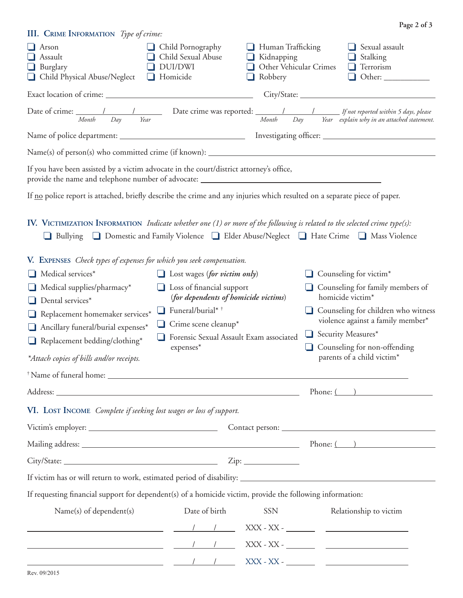| III. CRIME INFORMATION Type of crime:                                                                                                                                                                                                                                                                                                                                                                       |                                                                                                                                                                                                                                  |                                                                                         |                    | Page 2 of 3                                                                                                                                                                                                                                 |
|-------------------------------------------------------------------------------------------------------------------------------------------------------------------------------------------------------------------------------------------------------------------------------------------------------------------------------------------------------------------------------------------------------------|----------------------------------------------------------------------------------------------------------------------------------------------------------------------------------------------------------------------------------|-----------------------------------------------------------------------------------------|--------------------|---------------------------------------------------------------------------------------------------------------------------------------------------------------------------------------------------------------------------------------------|
| $\Box$ Arson<br>$\Box$ Assault<br>$\Box$ Burglary<br>Child Physical Abuse/Neglect<br>⊔                                                                                                                                                                                                                                                                                                                      | Child Pornography<br>Child Sexual Abuse<br>DUI/DWI<br>Homicide                                                                                                                                                                   | $\Box$ Human Trafficking<br>$\Box$ Kidnapping<br>Other Vehicular Crimes<br>Robbery<br>⊔ |                    | $\Box$ Sexual assault<br>$\Box$ Stalking<br>Terrorism<br>⊔                                                                                                                                                                                  |
|                                                                                                                                                                                                                                                                                                                                                                                                             |                                                                                                                                                                                                                                  |                                                                                         |                    |                                                                                                                                                                                                                                             |
| Date of crime: $\frac{1}{\frac{1}{1-\frac{1}{1-\frac{1}{1-\frac{1}{1-\frac{1}{1-\frac{1}{1-\frac{1}{1-\frac{1}{1-\frac{1}{1-\frac{1}{1-\frac{1}{1-\frac{1}{1-\frac{1}{1-\frac{1}{1-\frac{1}{1-\frac{1}{1-\frac{1}{1-\frac{1}{1-\frac{1}{1-\frac{1}{1-\frac{1}{1-\frac{1}{1-\frac{1}{1-\frac{1}{1-\frac{1}{1-\frac{1}{1-\frac{1}{1-\frac{1}{1-\frac{1}{1-\frac{1}{1-\frac{1}{1-\frac{1}{1-\frac{1}{1-\frac{$ |                                                                                                                                                                                                                                  |                                                                                         |                    |                                                                                                                                                                                                                                             |
|                                                                                                                                                                                                                                                                                                                                                                                                             |                                                                                                                                                                                                                                  |                                                                                         |                    |                                                                                                                                                                                                                                             |
|                                                                                                                                                                                                                                                                                                                                                                                                             |                                                                                                                                                                                                                                  |                                                                                         |                    |                                                                                                                                                                                                                                             |
| If you have been assisted by a victim advocate in the court/district attorney's office,                                                                                                                                                                                                                                                                                                                     |                                                                                                                                                                                                                                  |                                                                                         |                    |                                                                                                                                                                                                                                             |
| If <u>no</u> police report is attached, briefly describe the crime and any injuries which resulted on a separate piece of paper.                                                                                                                                                                                                                                                                            |                                                                                                                                                                                                                                  |                                                                                         |                    |                                                                                                                                                                                                                                             |
| IV. VICTIMIZATION INFORMATION <i>Indicate whether one</i> $(1)$ or more of the following is related to the selected crime type(s):<br>Bullying <b>Q</b> Domestic and Family Violence <b>Q</b> Elder Abuse/Neglect <b>Q</b> Hate Crime <b>Q</b> Mass Violence                                                                                                                                                |                                                                                                                                                                                                                                  |                                                                                         |                    |                                                                                                                                                                                                                                             |
| V. EXPENSES Check types of expenses for which you seek compensation.<br>Medical services*<br>- 1<br>Medical supplies/pharmacy*<br>Dental services*<br>Replacement homemaker services*<br>Ancillary funeral/burial expenses*<br>ப<br>Replacement bedding/clothing*<br>⊔<br>*Attach copies of bills and/or receipts.                                                                                          | $\Box$ Lost wages (for victim only)<br>Loss of financial support<br>(for dependents of homicide victims)<br>$\Box$ Funeral/burial* $\dag$<br>$\Box$ Crime scene cleanup*<br>Forensic Sexual Assault Exam associated<br>expenses* |                                                                                         | Security Measures* | $\Box$ Counseling for victim*<br>Counseling for family members of<br>homicide victim*<br>Counseling for children who witness<br>violence against a family member*<br>Counseling for non-offending<br>parents of a child victim <sup>*</sup> |
|                                                                                                                                                                                                                                                                                                                                                                                                             |                                                                                                                                                                                                                                  |                                                                                         |                    | Phone: $\qquad \qquad$                                                                                                                                                                                                                      |
| VI. LOST INCOME Complete if seeking lost wages or loss of support.                                                                                                                                                                                                                                                                                                                                          |                                                                                                                                                                                                                                  |                                                                                         |                    |                                                                                                                                                                                                                                             |
|                                                                                                                                                                                                                                                                                                                                                                                                             |                                                                                                                                                                                                                                  |                                                                                         |                    |                                                                                                                                                                                                                                             |
|                                                                                                                                                                                                                                                                                                                                                                                                             |                                                                                                                                                                                                                                  |                                                                                         |                    | Phone: ( )                                                                                                                                                                                                                                  |
|                                                                                                                                                                                                                                                                                                                                                                                                             |                                                                                                                                                                                                                                  |                                                                                         |                    |                                                                                                                                                                                                                                             |
|                                                                                                                                                                                                                                                                                                                                                                                                             |                                                                                                                                                                                                                                  |                                                                                         |                    |                                                                                                                                                                                                                                             |
| If requesting financial support for dependent(s) of a homicide victim, provide the following information:                                                                                                                                                                                                                                                                                                   |                                                                                                                                                                                                                                  |                                                                                         |                    |                                                                                                                                                                                                                                             |
| Name(s) of dependent(s)<br><u> 1989 - Johann Stein, fransk politik (d. 1989)</u>                                                                                                                                                                                                                                                                                                                            | Date of birth                                                                                                                                                                                                                    | <b>SSN</b>                                                                              |                    | Relationship to victim<br>$\text{XXX - XX -}\begin{tabular}{ l l } \hline \multicolumn{3}{ l }{\text{XXX - XX -}\end{tabular}} \begin{tabular}{ l l l } \hline \multicolumn{3}{ l }{\text{XXX - XX -}\end{tabular}} \end{tabular}$          |
|                                                                                                                                                                                                                                                                                                                                                                                                             |                                                                                                                                                                                                                                  |                                                                                         |                    |                                                                                                                                                                                                                                             |
|                                                                                                                                                                                                                                                                                                                                                                                                             |                                                                                                                                                                                                                                  |                                                                                         |                    |                                                                                                                                                                                                                                             |